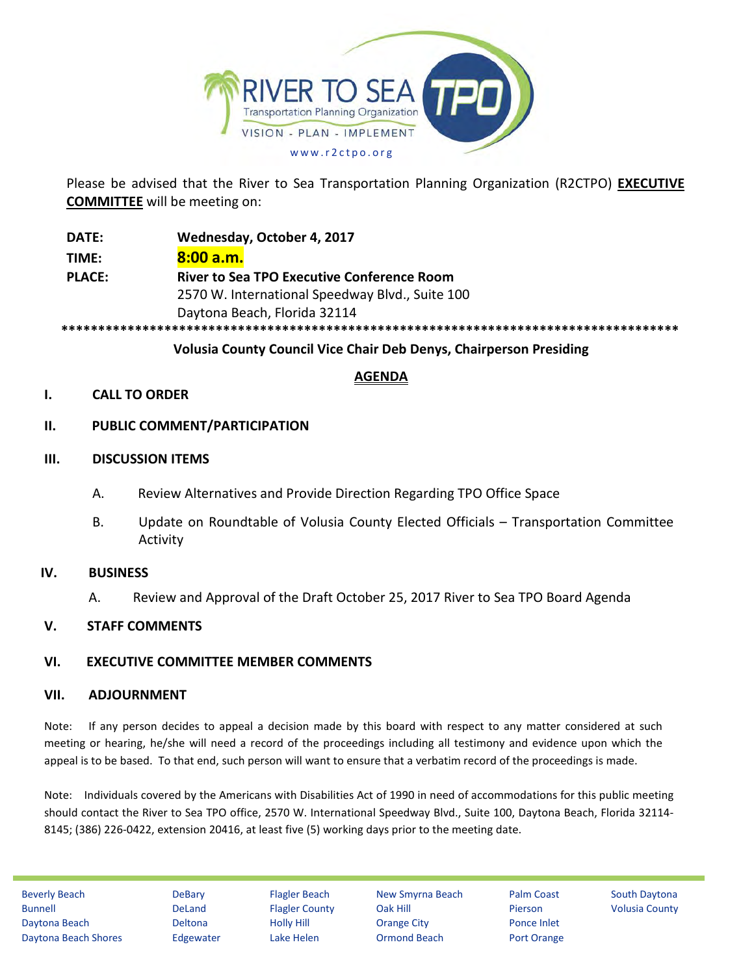

Please be advised that the River to Sea Transportation Planning Organization (R2CTPO) **EXECUTIVE COMMITTEE** will be meeting on:

**DATE: Wednesday, October 4, 2017 TIME: 8:00 a.m. PLACE: River to Sea TPO Executive Conference Room** 2570 W. International Speedway Blvd., Suite 100 Daytona Beach, Florida 32114 **\*\*\*\*\*\*\*\*\*\*\*\*\*\*\*\*\*\*\*\*\*\*\*\*\*\*\*\*\*\*\*\*\*\*\*\*\*\*\*\*\*\*\*\*\*\*\*\*\*\*\*\*\*\*\*\*\*\*\*\*\*\*\*\*\*\*\*\*\*\*\*\*\*\*\*\*\*\*\*\*\*\*\*\***

# **Volusia County Council Vice Chair Deb Denys, Chairperson Presiding**

# **AGENDA**

## **I. CALL TO ORDER**

### **II. PUBLIC COMMENT/PARTICIPATION**

#### **III. DISCUSSION ITEMS**

- A. Review Alternatives and Provide Direction Regarding TPO Office Space
- B. Update on Roundtable of Volusia County Elected Officials Transportation Committee Activity

### **IV. BUSINESS**

A. Review and Approval of the Draft October 25, 2017 River to Sea TPO Board Agenda

### **V. STAFF COMMENTS**

### **VI. EXECUTIVE COMMITTEE MEMBER COMMENTS**

### **VII. ADJOURNMENT**

Note: If any person decides to appeal a decision made by this board with respect to any matter considered at such meeting or hearing, he/she will need a record of the proceedings including all testimony and evidence upon which the appeal is to be based. To that end, such person will want to ensure that a verbatim record of the proceedings is made.

Note: Individuals covered by the Americans with Disabilities Act of 1990 in need of accommodations for this public meeting should contact the River to Sea TPO office, 2570 W. International Speedway Blvd., Suite 100, Daytona Beach, Florida 32114- 8145; (386) 226-0422, extension 20416, at least five (5) working days prior to the meeting date.

Beverly Beach **DeBary** Flagler Beach New Smyrna Beach Palm Coast South Daytona Bunnell **DeLand** Flagler County Oak Hill Pierson Volusia County Daytona Beach Deltona Holly Hill Orange City Ponce Inlet Daytona Beach Shores Edgewater Lake Helen Ormond Beach Port Orange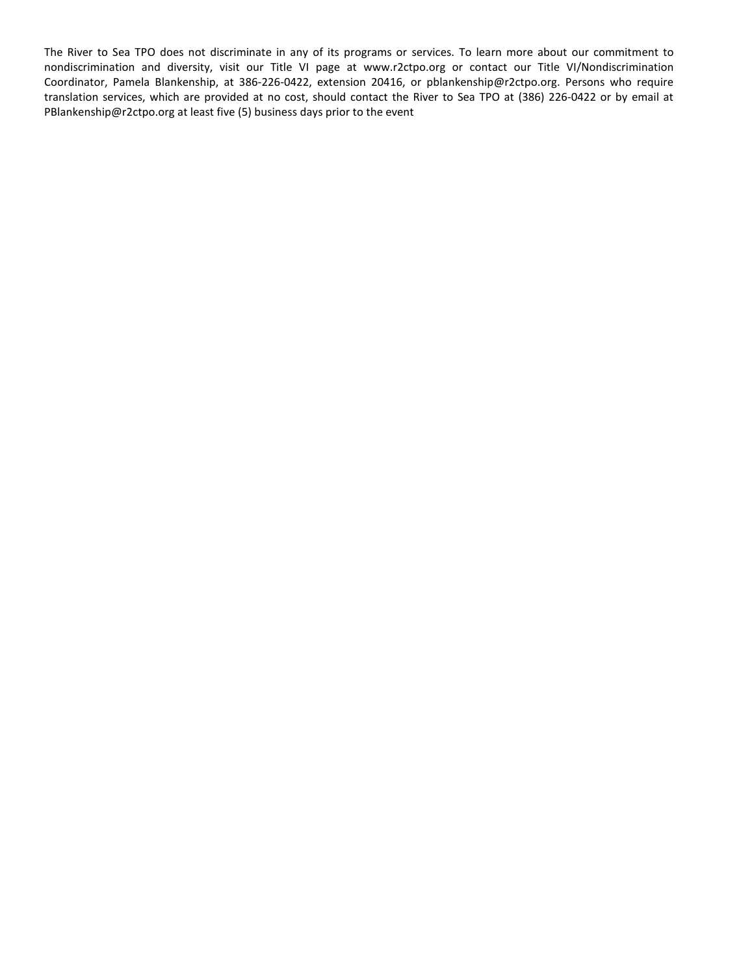The River to Sea TPO does not discriminate in any of its programs or services. To learn more about our commitment to nondiscrimination and diversity, visit our Title VI page at www.r2ctpo.org or contact our Title VI/Nondiscrimination Coordinator, Pamela Blankenship, at 386-226-0422, extension 20416, or pblankenship@r2ctpo.org. Persons who require translation services, which are provided at no cost, should contact the River to Sea TPO at (386) 226-0422 or by email at PBlankenship@r2ctpo.org at least five (5) business days prior to the event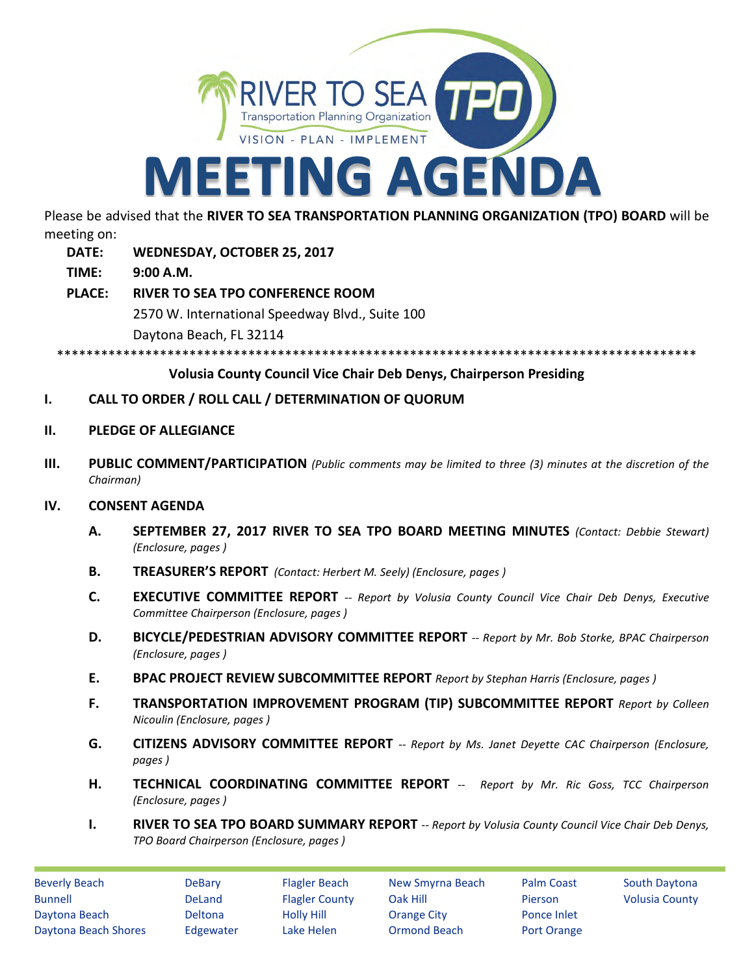

Please be advised that the **RIVER TO SEA TRANSPORTATION PLANNING ORGANIZATION (TPO) BOARD** will be meeting on:

- **DATE: WEDNESDAY, OCTOBER 25, 2017**
- **TIME: 9:00 A.M.**
- **PLACE: RIVER TO SEA TPO CONFERENCE ROOM** 2570 W. International Speedway Blvd., Suite 100 Daytona Beach, FL 32114

\*\*\*\*\*\*\*\*\*\*\*\*\*\*\*\*\*\*\*\*\*\*\*\*\*\*\*\*\*\*\*\*\*\*\*\*\*\*\*\*\*\*\*\*\*\*\*\*\*\*\*\*\*\*\*\*\*\*\*\*\*\*\*\*\*\*\*\*\*\*\*\*\*\*\*\*\*\*\*\*\*\*\*\*\*\*\*

## **Volusia County Council Vice Chair Deb Denys, Chairperson Presiding**

- **I. CALL TO ORDER / ROLL CALL / DETERMINATION OF QUORUM**
- **II. PLEDGE OF ALLEGIANCE**
- **III. PUBLIC COMMENT/PARTICIPATION** *(Public comments may be limited to three (3) minutes at the discretion of the Chairman)*

### **IV. CONSENT AGENDA**

- **A. SEPTEMBER 27, 2017 RIVER TO SEA TPO BOARD MEETING MINUTES** *(Contact: Debbie Stewart) (Enclosure, pages )*
- **B. TREASURER'S REPORT** *(Contact: Herbert M. Seely) (Enclosure, pages )*
- **C. EXECUTIVE COMMITTEE REPORT** *-- Report by Volusia County Council Vice Chair Deb Denys, Executive Committee Chairperson (Enclosure, pages )*
- **D. BICYCLE/PEDESTRIAN ADVISORY COMMITTEE REPORT** *-- Report by Mr. Bob Storke, BPAC Chairperson (Enclosure, pages )*
- **E. BPAC PROJECT REVIEW SUBCOMMITTEE REPORT** *Report by Stephan Harris (Enclosure, pages )*
- **F. TRANSPORTATION IMPROVEMENT PROGRAM (TIP) SUBCOMMITTEE REPORT** *Report by Colleen Nicoulin (Enclosure, pages )*
- **G. CITIZENS ADVISORY COMMITTEE REPORT** *-- Report by Ms. Janet Deyette CAC Chairperson (Enclosure, pages )*
- **H. TECHNICAL COORDINATING COMMITTEE REPORT** *-- Report by Mr. Ric Goss, TCC Chairperson (Enclosure, pages )*
- **I. RIVER TO SEA TPO BOARD SUMMARY REPORT** *-- Report by Volusia County Council Vice Chair Deb Denys, TPO Board Chairperson (Enclosure, pages )*

Beverly Beach **DeBary** Flagler Beach New Smyrna Beach Palm Coast South Daytona Bunnell **Summell** DeLand Flagler County Oak Hill Pierson Volusia County Daytona Beach Deltona Holly Hill Orange City Ponce Inlet Daytona Beach Shores Edgewater Lake Helen Ormond Beach Port Orange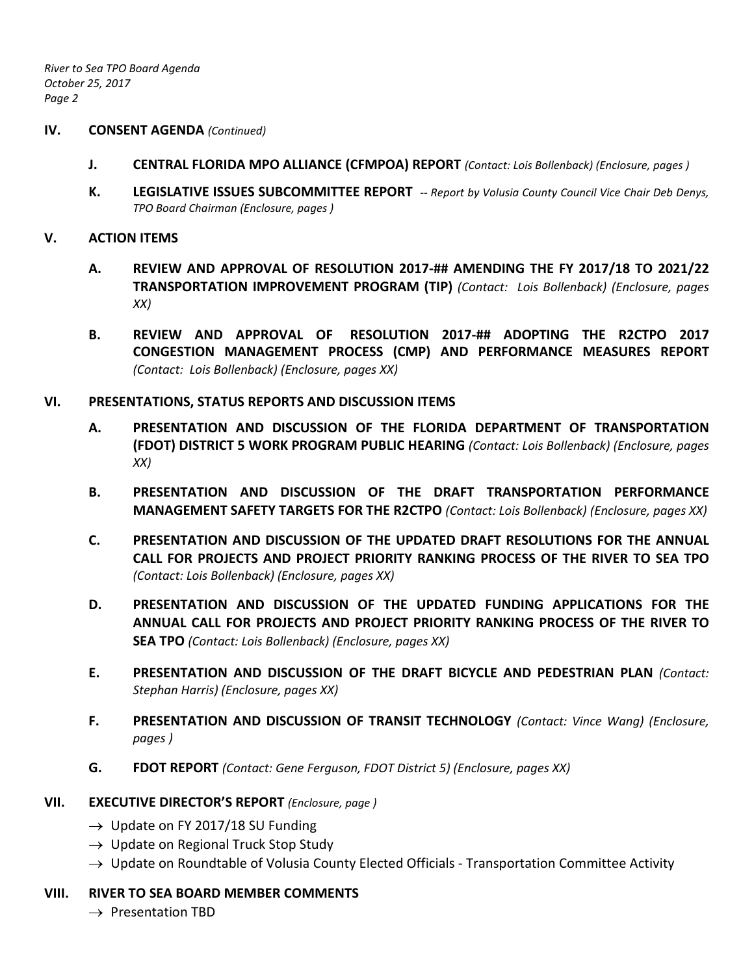*River to Sea TPO Board Agenda October 25, 2017 Page 2*

### **IV. CONSENT AGENDA** *(Continued)*

- **J. CENTRAL FLORIDA MPO ALLIANCE (CFMPOA) REPORT** *(Contact: Lois Bollenback) (Enclosure, pages )*
- **K. LEGISLATIVE ISSUES SUBCOMMITTEE REPORT** *-- Report by Volusia County Council Vice Chair Deb Denys, TPO Board Chairman (Enclosure, pages )*

### **V. ACTION ITEMS**

- **A. REVIEW AND APPROVAL OF RESOLUTION 2017-## AMENDING THE FY 2017/18 TO 2021/22 TRANSPORTATION IMPROVEMENT PROGRAM (TIP)** *(Contact: Lois Bollenback) (Enclosure, pages XX)*
- **B. REVIEW AND APPROVAL OF RESOLUTION 2017-## ADOPTING THE R2CTPO 2017 CONGESTION MANAGEMENT PROCESS (CMP) AND PERFORMANCE MEASURES REPORT**  *(Contact: Lois Bollenback) (Enclosure, pages XX)*
- **VI. PRESENTATIONS, STATUS REPORTS AND DISCUSSION ITEMS**
	- **A. PRESENTATION AND DISCUSSION OF THE FLORIDA DEPARTMENT OF TRANSPORTATION (FDOT) DISTRICT 5 WORK PROGRAM PUBLIC HEARING** *(Contact: Lois Bollenback) (Enclosure, pages XX)*
	- **B. PRESENTATION AND DISCUSSION OF THE DRAFT TRANSPORTATION PERFORMANCE MANAGEMENT SAFETY TARGETS FOR THE R2CTPO** *(Contact: Lois Bollenback) (Enclosure, pages XX)*
	- **C. PRESENTATION AND DISCUSSION OF THE UPDATED DRAFT RESOLUTIONS FOR THE ANNUAL CALL FOR PROJECTS AND PROJECT PRIORITY RANKING PROCESS OF THE RIVER TO SEA TPO**  *(Contact: Lois Bollenback) (Enclosure, pages XX)*
	- **D. PRESENTATION AND DISCUSSION OF THE UPDATED FUNDING APPLICATIONS FOR THE ANNUAL CALL FOR PROJECTS AND PROJECT PRIORITY RANKING PROCESS OF THE RIVER TO SEA TPO** *(Contact: Lois Bollenback) (Enclosure, pages XX)*
	- **E. PRESENTATION AND DISCUSSION OF THE DRAFT BICYCLE AND PEDESTRIAN PLAN** *(Contact: Stephan Harris) (Enclosure, pages XX)*
	- **F. PRESENTATION AND DISCUSSION OF TRANSIT TECHNOLOGY** *(Contact: Vince Wang) (Enclosure, pages )*
	- **G. FDOT REPORT** *(Contact: Gene Ferguson, FDOT District 5) (Enclosure, pages XX)*

### **VII. EXECUTIVE DIRECTOR'S REPORT** *(Enclosure, page )*

- $\rightarrow$  Update on FY 2017/18 SU Funding
- $\rightarrow$  Update on Regional Truck Stop Study
- $\rightarrow$  Update on Roundtable of Volusia County Elected Officials Transportation Committee Activity

### **VIII. RIVER TO SEA BOARD MEMBER COMMENTS**

 $\rightarrow$  Presentation TBD